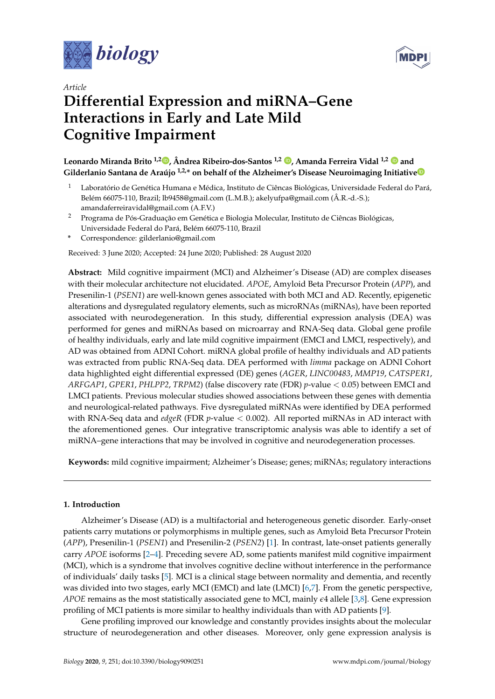



# *Article* **Differential Expression and miRNA–Gene Interactions in Early and Late Mild Cognitive Impairment**

**Leonardo Miranda Brito 1,2 [,](https://orcid.org/0000-0002-0598-5115) Ândrea Ribeiro-dos-Santos 1,2 [,](https://orcid.org/0000-0001-7001-1483) Amanda Ferreira Vidal 1,2 and Gilderlanio Santana de Araújo 1,2,\* on behalf of the Alzheimer's Disease Neuroimaging Initiativ[e](https://orcid.org/0000-0001-9199-9419)**

- <sup>1</sup> Laboratório de Genética Humana e Médica, Instituto de Ciêncas Biológicas, Universidade Federal do Pará, Belém 66075-110, Brazil; lb9458@gmail.com (L.M.B.); akelyufpa@gmail.com (Â.R.-d.-S.); amandaferreiravidal@gmail.com (A.F.V.)
- <sup>2</sup> Programa de Pós-Graduação em Genética e Biologia Molecular, Instituto de Ciêncas Biológicas, Universidade Federal do Pará, Belém 66075-110, Brazil
- **\*** Correspondence: gilderlanio@gmail.com

Received: 3 June 2020; Accepted: 24 June 2020; Published: 28 August 2020

**Abstract:** Mild cognitive impairment (MCI) and Alzheimer's Disease (AD) are complex diseases with their molecular architecture not elucidated. *APOE*, Amyloid Beta Precursor Protein (*APP*), and Presenilin-1 (*PSEN1*) are well-known genes associated with both MCI and AD. Recently, epigenetic alterations and dysregulated regulatory elements, such as microRNAs (miRNAs), have been reported associated with neurodegeneration. In this study, differential expression analysis (DEA) was performed for genes and miRNAs based on microarray and RNA-Seq data. Global gene profile of healthy individuals, early and late mild cognitive impairment (EMCI and LMCI, respectively), and AD was obtained from ADNI Cohort. miRNA global profile of healthy individuals and AD patients was extracted from public RNA-Seq data. DEA performed with *limma* package on ADNI Cohort data highlighted eight differential expressed (DE) genes (*AGER*, *LINC00483*, *MMP19*, *CATSPER1*, *ARFGAP1*, *GPER1*, *PHLPP2*, *TRPM2*) (false discovery rate (FDR) *p*-value < 0.05) between EMCI and LMCI patients. Previous molecular studies showed associations between these genes with dementia and neurological-related pathways. Five dysregulated miRNAs were identified by DEA performed with RNA-Seq data and *edgeR* (FDR *p*-value < 0.002). All reported miRNAs in AD interact with the aforementioned genes. Our integrative transcriptomic analysis was able to identify a set of miRNA–gene interactions that may be involved in cognitive and neurodegeneration processes.

**Keywords:** mild cognitive impairment; Alzheimer's Disease; genes; miRNAs; regulatory interactions

# **1. Introduction**

Alzheimer's Disease (AD) is a multifactorial and heterogeneous genetic disorder. Early-onset patients carry mutations or polymorphisms in multiple genes, such as Amyloid Beta Precursor Protein (*APP*), Presenilin-1 (*PSEN1*) and Presenilin-2 (*PSEN2*) [\[1\]](#page-7-0). In contrast, late-onset patients generally carry *APOE* isoforms [\[2](#page-7-1)[–4\]](#page-7-2). Preceding severe AD, some patients manifest mild cognitive impairment (MCI), which is a syndrome that involves cognitive decline without interference in the performance of individuals' daily tasks [\[5\]](#page-7-3). MCI is a clinical stage between normality and dementia, and recently was divided into two stages, early MCI (EMCI) and late (LMCI) [\[6,](#page-7-4)[7\]](#page-7-5). From the genetic perspective, *APOE* remains as the most statistically associated gene to MCI, mainly *e*4 allele [\[3](#page-7-6)[,8\]](#page-7-7). Gene expression profiling of MCI patients is more similar to healthy individuals than with AD patients [\[9\]](#page-7-8).

Gene profiling improved our knowledge and constantly provides insights about the molecular structure of neurodegeneration and other diseases. Moreover, only gene expression analysis is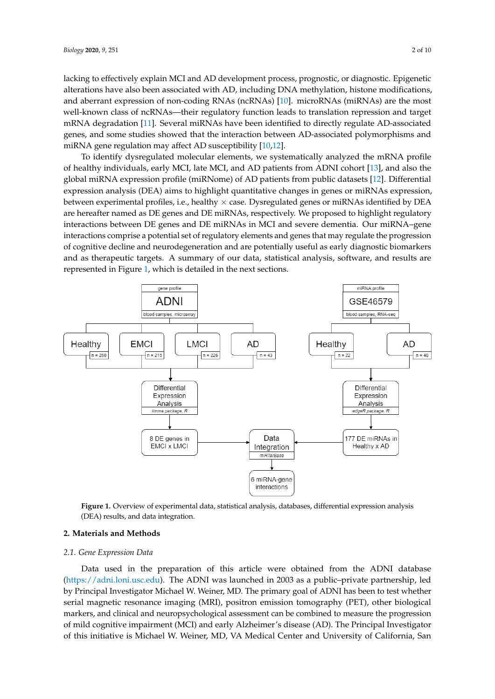lacking to effectively explain MCI and AD development process, prognostic, or diagnostic. Epigenetic alterations have also been associated with AD, including DNA methylation, histone modifications, and aberrant expression of non-coding RNAs (ncRNAs) [\[10\]](#page-7-9). microRNAs (miRNAs) are the most well-known class of ncRNAs—their regulatory function leads to translation repression and target mRNA degradation [\[11\]](#page-7-10). Several miRNAs have been identified to directly regulate AD-associated genes, and some studies showed that the interaction between AD-associated polymorphisms and miRNA gene regulation may affect AD susceptibility [\[10](#page-7-9)[,12\]](#page-8-0).

To identify dysregulated molecular elements, we systematically analyzed the mRNA profile of healthy individuals, early MCI, late MCI, and AD patients from ADNI cohort [\[13\]](#page-8-1), and also the global miRNA expression profile (miRNome) of AD patients from public datasets [\[12\]](#page-8-0). Differential expression analysis (DEA) aims to highlight quantitative changes in genes or miRNAs expression, between experimental profiles, i.e., healthy  $\times$  case. Dysregulated genes or miRNAs identified by DEA are hereafter named as DE genes and DE miRNAs, respectively. We proposed to highlight regulatory interactions between DE genes and DE miRNAs in MCI and severe dementia. Our miRNA–gene interactions comprise a potential set of regulatory elements and genes that may regulate the progression of cognitive decline and neurodegeneration and are potentially useful as early diagnostic biomarkers and as therapeutic targets. A summary of our data, statistical analysis, software, and results are represented in Figure [1,](#page-1-0) which is detailed in the next sections.

<span id="page-1-0"></span>

**Figure 1.** Overview of experimental data, statistical analysis, databases, differential expression analysis (DEA) results, and data integration.

# **2. Materials and Methods**

# *2.1. Gene Expression Data*

Data used in the preparation of this article were obtained from the ADNI database [\(https://adni.loni.usc.edu\)](https://adni.loni.usc.edu). The ADNI was launched in 2003 as a public–private partnership, led by Principal Investigator Michael W. Weiner, MD. The primary goal of ADNI has been to test whether serial magnetic resonance imaging (MRI), positron emission tomography (PET), other biological markers, and clinical and neuropsychological assessment can be combined to measure the progression of mild cognitive impairment (MCI) and early Alzheimer's disease (AD). The Principal Investigator of this initiative is Michael W. Weiner, MD, VA Medical Center and University of California, San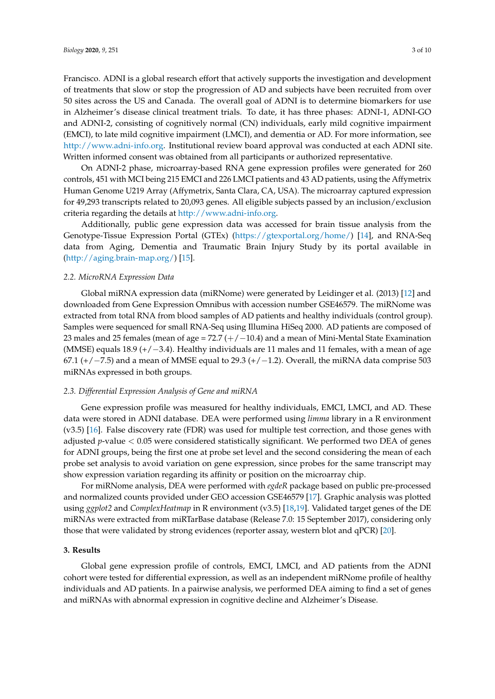Francisco. ADNI is a global research effort that actively supports the investigation and development of treatments that slow or stop the progression of AD and subjects have been recruited from over 50 sites across the US and Canada. The overall goal of ADNI is to determine biomarkers for use in Alzheimer's disease clinical treatment trials. To date, it has three phases: ADNI-1, ADNI-GO and ADNI-2, consisting of cognitively normal (CN) individuals, early mild cognitive impairment (EMCI), to late mild cognitive impairment (LMCI), and dementia or AD. For more information, see [http://www.adni-info.org.](http://www.adni-info.org) Institutional review board approval was conducted at each ADNI site. Written informed consent was obtained from all participants or authorized representative.

On ADNI-2 phase, microarray-based RNA gene expression profiles were generated for 260 controls, 451 with MCI being 215 EMCI and 226 LMCI patients and 43 AD patients, using the Affymetrix Human Genome U219 Array (Affymetrix, Santa Clara, CA, USA). The microarray captured expression for 49,293 transcripts related to 20,093 genes. All eligible subjects passed by an inclusion/exclusion criteria regarding the details at [http://www.adni-info.org.](http://www.adni-info.org)

Additionally, public gene expression data was accessed for brain tissue analysis from the Genotype-Tissue Expression Portal (GTEx) [\(https://gtexportal.org/home/\)](https://gtexportal.org/home/) [\[14\]](#page-8-2), and RNA-Seq data from Aging, Dementia and Traumatic Brain Injury Study by its portal available in [\(http://aging.brain-map.org/\)](http://aging.brain-map.org/) [\[15\]](#page-8-3).

# *2.2. MicroRNA Expression Data*

Global miRNA expression data (miRNome) were generated by Leidinger et al. (2013) [\[12\]](#page-8-0) and downloaded from Gene Expression Omnibus with accession number GSE46579. The miRNome was extracted from total RNA from blood samples of AD patients and healthy individuals (control group). Samples were sequenced for small RNA-Seq using Illumina HiSeq 2000. AD patients are composed of 23 males and 25 females (mean of age =  $72.7$  (+ $/$  -10.4) and a mean of Mini-Mental State Examination (MMSE) equals 18.9 (+/−3.4). Healthy individuals are 11 males and 11 females, with a mean of age 67.1 (+/ $-7.5$ ) and a mean of MMSE equal to 29.3 (+/ $-1.2$ ). Overall, the miRNA data comprise 503 miRNAs expressed in both groups.

# *2.3. Differential Expression Analysis of Gene and miRNA*

Gene expression profile was measured for healthy individuals, EMCI, LMCI, and AD. These data were stored in ADNI database. DEA were performed using *limma* library in a R environment (v3.5) [\[16\]](#page-8-4). False discovery rate (FDR) was used for multiple test correction, and those genes with adjusted *p*-value < 0.05 were considered statistically significant. We performed two DEA of genes for ADNI groups, being the first one at probe set level and the second considering the mean of each probe set analysis to avoid variation on gene expression, since probes for the same transcript may show expression variation regarding its affinity or position on the microarray chip.

For miRNome analysis, DEA were performed with *egdeR* package based on public pre-processed and normalized counts provided under GEO accession GSE46579 [\[17\]](#page-8-5). Graphic analysis was plotted using *ggplot2* and *ComplexHeatmap* in R environment (v3.5) [\[18,](#page-8-6)[19\]](#page-8-7). Validated target genes of the DE miRNAs were extracted from miRTarBase database (Release 7.0: 15 September 2017), considering only those that were validated by strong evidences (reporter assay, western blot and qPCR) [\[20\]](#page-8-8).

#### **3. Results**

Global gene expression profile of controls, EMCI, LMCI, and AD patients from the ADNI cohort were tested for differential expression, as well as an independent miRNome profile of healthy individuals and AD patients. In a pairwise analysis, we performed DEA aiming to find a set of genes and miRNAs with abnormal expression in cognitive decline and Alzheimer's Disease.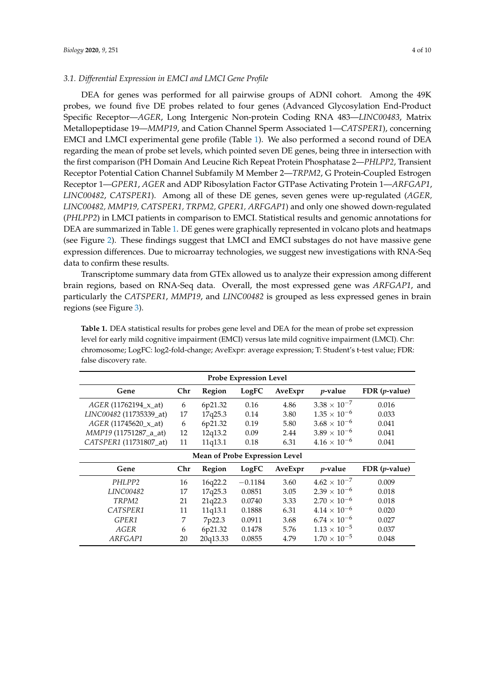DEA for genes was performed for all pairwise groups of ADNI cohort. Among the 49K probes, we found five DE probes related to four genes (Advanced Glycosylation End-Product Specific Receptor—*AGER*, Long Intergenic Non-protein Coding RNA 483—*LINC00483*, Matrix Metallopeptidase 19—*MMP19*, and Cation Channel Sperm Associated 1—*CATSPER1*), concerning EMCI and LMCI experimental gene profile (Table [1\)](#page-3-0). We also performed a second round of DEA regarding the mean of probe set levels, which pointed seven DE genes, being three in intersection with the first comparison (PH Domain And Leucine Rich Repeat Protein Phosphatase 2—*PHLPP2*, Transient Receptor Potential Cation Channel Subfamily M Member 2—*TRPM2*, G Protein-Coupled Estrogen Receptor 1—*GPER1*, *AGER* and ADP Ribosylation Factor GTPase Activating Protein 1—*ARFGAP1*, *LINC00482*, *CATSPER1*). Among all of these DE genes, seven genes were up-regulated (*AGER, LINC00482, MMP19, CATSPER1, TRPM2, GPER1, ARFGAP1*) and only one showed down-regulated (*PHLPP2*) in LMCI patients in comparison to EMCI. Statistical results and genomic annotations for DEA are summarized in Table [1.](#page-3-0) DE genes were graphically represented in volcano plots and heatmaps (see Figure [2\)](#page-4-0). These findings suggest that LMCI and EMCI substages do not have massive gene expression differences. Due to microarray technologies, we suggest new investigations with RNA-Seq data to confirm these results.

Transcriptome summary data from GTEx allowed us to analyze their expression among different brain regions, based on RNA-Seq data. Overall, the most expressed gene was *ARFGAP1*, and particularly the *CATSPER1*, *MMP19*, and *LINC00482* is grouped as less expressed genes in brain regions (see Figure [3\)](#page-4-1).

| <b>Probe Expression Level</b>  |     |               |           |         |                       |                  |  |  |  |
|--------------------------------|-----|---------------|-----------|---------|-----------------------|------------------|--|--|--|
| Gene                           | Chr | <b>Region</b> | LogFC     | AveExpr | <i>p</i> -value       | FDR $(p$ -value) |  |  |  |
| AGER (11762194 x at)           | 6   | 6p21.32       | 0.16      | 4.86    | $3.38 \times 10^{-7}$ | 0.016            |  |  |  |
| LINC00482 (11735339_at)        | 17  | 17q25.3       | 0.14      | 3.80    | $1.35 \times 10^{-6}$ | 0.033            |  |  |  |
| AGER (11745620_x_at)           | 6   | 6p21.32       | 0.19      | 5.80    | $3.68 \times 10^{-6}$ | 0.041            |  |  |  |
| MMP19 (11751287_a_at)          | 12  | 12q13.2       | 0.09      | 2.44    | $3.89 \times 10^{-6}$ | 0.041            |  |  |  |
| CATSPER1 (11731807_at)         | 11  | 11q13.1       | 0.18      | 6.31    | $4.16 \times 10^{-6}$ | 0.041            |  |  |  |
| Mean of Probe Expression Level |     |               |           |         |                       |                  |  |  |  |
| Gene                           | Chr | Region        | LogFC     | AveExpr | $p$ -value            | FDR $(p$ -value) |  |  |  |
| PHLPP2                         | 16  | 16q22.2       | $-0.1184$ | 3.60    | $4.62 \times 10^{-7}$ | 0.009            |  |  |  |
| LINC00482                      | 17  | 17q25.3       | 0.0851    | 3.05    | $2.39 \times 10^{-6}$ | 0.018            |  |  |  |
| TRPM2                          | 21  | 21q22.3       | 0.0740    | 3.33    | $2.70 \times 10^{-6}$ | 0.018            |  |  |  |
| CATSPER1                       | 11  | 11q13.1       | 0.1888    | 6.31    | $4.14 \times 10^{-6}$ | 0.020            |  |  |  |
| GPER1                          | 7   | 7p22.3        | 0.0911    | 3.68    | $6.74 \times 10^{-6}$ | 0.027            |  |  |  |
| AGER                           | 6   | 6p21.32       | 0.1478    | 5.76    | $1.13 \times 10^{-5}$ | 0.037            |  |  |  |
| <i>ARFGAP1</i>                 | 20  | 20q13.33      | 0.0855    | 4.79    | $1.70 \times 10^{-5}$ | 0.048            |  |  |  |

<span id="page-3-0"></span>**Table 1.** DEA statistical results for probes gene level and DEA for the mean of probe set expression level for early mild cognitive impairment (EMCI) versus late mild cognitive impairment (LMCI). Chr: chromosome; LogFC: log2-fold-change; AveExpr: average expression; T: Student's t-test value; FDR: false discovery rate.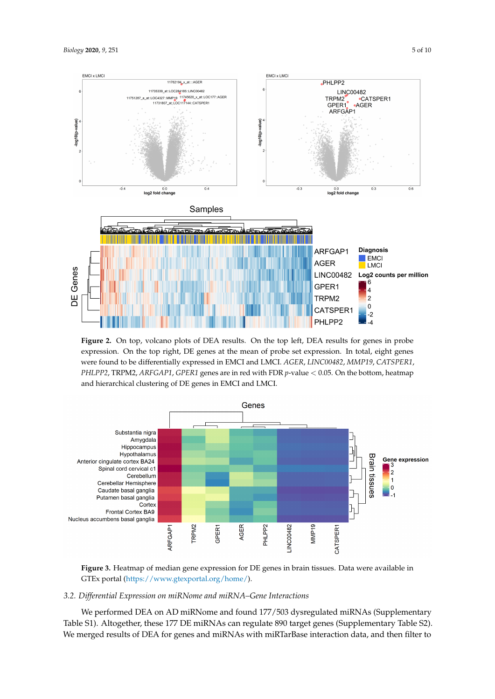<span id="page-4-0"></span>

**Figure 2.** On top, volcano plots of DEA results. On the top left, DEA results for genes in probe expression. On the top right, DE genes at the mean of probe set expression. In total, eight genes were found to be differentially expressed in EMCI and LMCI. *AGER*, *LINC00482*, *MMP19*, *CATSPER1*, *PHLPP2*, TRPM2, *ARFGAP1*, *GPER1* genes are in red with FDR *p*-value < 0.05. On the bottom, heatmap and hierarchical clustering of DE genes in EMCI and LMCI.

<span id="page-4-1"></span>

**Figure 3.** Heatmap of median gene expression for DE genes in brain tissues. Data were available in GTEx portal [\(https://www.gtexportal.org/home/\)](https://www.gtexportal.org/home/).

## *3.2. Differential Expression on miRNome and miRNA–Gene Interactions*

We performed DEA on AD miRNome and found 177/503 dysregulated miRNAs (Supplementary Table S1). Altogether, these 177 DE miRNAs can regulate 890 target genes (Supplementary Table S2). We merged results of DEA for genes and miRNAs with miRTarBase interaction data, and then filter to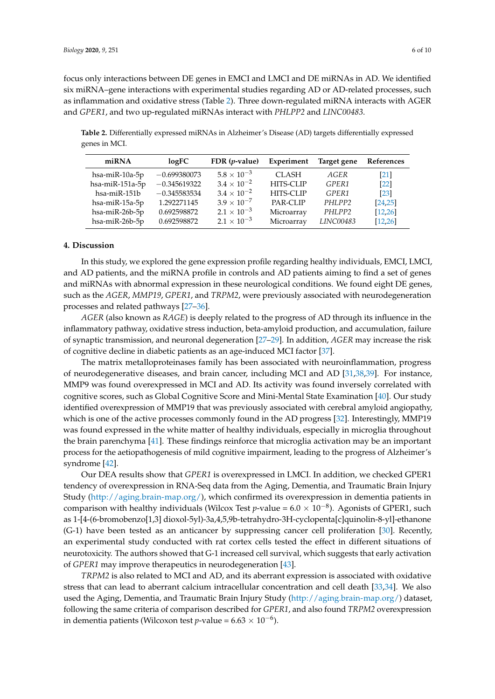focus only interactions between DE genes in EMCI and LMCI and DE miRNAs in AD. We identified six miRNA–gene interactions with experimental studies regarding AD or AD-related processes, such as inflammation and oxidative stress (Table [2\)](#page-5-0). Three down-regulated miRNA interacts with AGER and *GPER1*, and two up-regulated miRNAs interact with *PHLPP2* and *LINC00483*.

<span id="page-5-0"></span>**Table 2.** Differentially expressed miRNAs in Alzheimer's Disease (AD) targets differentially expressed genes in MCI.

| miRNA           | logFC          | FDR $(p$ -value)     | Experiment       | Target gene       | References |
|-----------------|----------------|----------------------|------------------|-------------------|------------|
| hsa-miR-10a-5p  | $-0.699380073$ | $5.8 \times 10^{-3}$ | <b>CLASH</b>     | AGER              | [21]       |
| hsa-miR-151a-5p | $-0.345619322$ | $3.4 \times 10^{-2}$ | <b>HITS-CLIP</b> | GPER1             | [22]       |
| hsa-miR-151b    | $-0.345583534$ | $3.4 \times 10^{-2}$ | <b>HITS-CLIP</b> | GPER <sub>1</sub> | [23]       |
| hsa-miR-15a-5p  | 1.292271145    | $3.9 \times 10^{-7}$ | PAR-CLIP         | PHI PP2           | [24, 25]   |
| hsa-miR-26b-5p  | 0.692598872    | $2.1 \times 10^{-3}$ | Microarray       | PHI.PP2           | [12, 26]   |
| hsa-miR-26b-5p  | 0.692598872    | $2.1 \times 10^{-3}$ | Microarray       | LINC00483         | [12, 26]   |

# **4. Discussion**

In this study, we explored the gene expression profile regarding healthy individuals, EMCI, LMCI, and AD patients, and the miRNA profile in controls and AD patients aiming to find a set of genes and miRNAs with abnormal expression in these neurological conditions. We found eight DE genes, such as the *AGER*, *MMP19*, *GPER1*, and *TRPM2*, were previously associated with neurodegeneration processes and related pathways [\[27–](#page-8-15)[36\]](#page-9-0).

*AGER* (also known as *RAGE*) is deeply related to the progress of AD through its influence in the inflammatory pathway, oxidative stress induction, beta-amyloid production, and accumulation, failure of synaptic transmission, and neuronal degeneration [\[27–](#page-8-15)[29\]](#page-8-16). In addition, *AGER* may increase the risk of cognitive decline in diabetic patients as an age-induced MCI factor [\[37\]](#page-9-1).

The matrix metalloproteinases family has been associated with neuroinflammation, progress of neurodegenerative diseases, and brain cancer, including MCI and AD [\[31](#page-8-17)[,38](#page-9-2)[,39\]](#page-9-3). For instance, MMP9 was found overexpressed in MCI and AD. Its activity was found inversely correlated with cognitive scores, such as Global Cognitive Score and Mini-Mental State Examination [\[40\]](#page-9-4). Our study identified overexpression of MMP19 that was previously associated with cerebral amyloid angiopathy, which is one of the active processes commonly found in the AD progress [\[32\]](#page-8-18). Interestingly, MMP19 was found expressed in the white matter of healthy individuals, especially in microglia throughout the brain parenchyma [\[41\]](#page-9-5). These findings reinforce that microglia activation may be an important process for the aetiopathogenesis of mild cognitive impairment, leading to the progress of Alzheimer's syndrome [\[42\]](#page-9-6).

Our DEA results show that *GPER1* is overexpressed in LMCI. In addition, we checked GPER1 tendency of overexpression in RNA-Seq data from the Aging, Dementia, and Traumatic Brain Injury Study [\(http://aging.brain-map.org/\)](http://aging.brain-map.org/), which confirmed its overexpression in dementia patients in comparison with healthy individuals (Wilcox Test *p*-value = 6.0 × 10−<sup>8</sup> ). Agonists of GPER1, such as 1-[4-(6-bromobenzo[1,3] dioxol-5yl)-3a,4,5,9b-tetrahydro-3H-cyclopenta[c]quinolin-8-yl]-ethanone (G-1) have been tested as an anticancer by suppressing cancer cell proliferation [\[30\]](#page-8-19). Recently, an experimental study conducted with rat cortex cells tested the effect in different situations of neurotoxicity. The authors showed that G-1 increased cell survival, which suggests that early activation of *GPER1* may improve therapeutics in neurodegeneration [\[43\]](#page-9-7).

*TRPM2* is also related to MCI and AD, and its aberrant expression is associated with oxidative stress that can lead to aberrant calcium intracellular concentration and cell death [\[33](#page-8-20)[,34\]](#page-9-8). We also used the Aging, Dementia, and Traumatic Brain Injury Study [\(http://aging.brain-map.org/\)](http://aging.brain-map.org/) dataset, following the same criteria of comparison described for *GPER1*, and also found *TRPM2* overexpression in dementia patients (Wilcoxon test *p*-value =  $6.63 \times 10^{-6}$ ).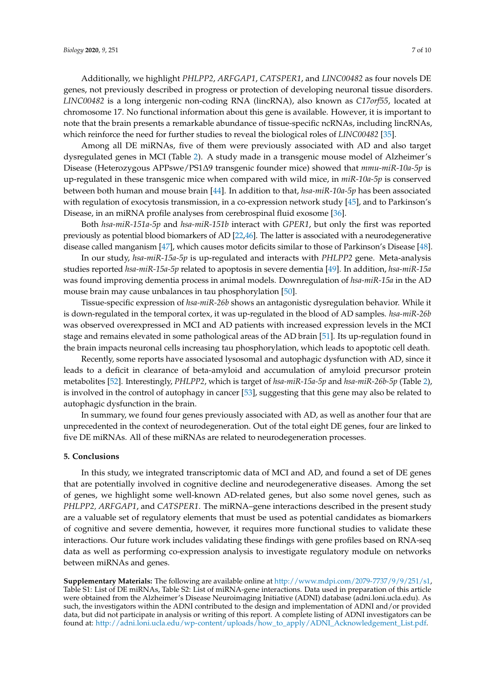Additionally, we highlight *PHLPP2*, *ARFGAP1*, *CATSPER1*, and *LINC00482* as four novels DE genes, not previously described in progress or protection of developing neuronal tissue disorders. *LINC00482* is a long intergenic non-coding RNA (lincRNA), also known as *C17orf55*, located at chromosome 17. No functional information about this gene is available. However, it is important to note that the brain presents a remarkable abundance of tissue-specific ncRNAs, including lincRNAs, which reinforce the need for further studies to reveal the biological roles of *LINC00482* [\[35\]](#page-9-9).

Among all DE miRNAs, five of them were previously associated with AD and also target dysregulated genes in MCI (Table [2\)](#page-5-0). A study made in a transgenic mouse model of Alzheimer's Disease (Heterozygous APPswe/PS1∆9 transgenic founder mice) showed that *mmu-miR-10a-5p* is up-regulated in these transgenic mice when compared with wild mice, in *miR-10a-5p* is conserved between both human and mouse brain [\[44\]](#page-9-10). In addition to that, *hsa-miR-10a-5p* has been associated with regulation of exocytosis transmission, in a co-expression network study [\[45\]](#page-9-11), and to Parkinson's Disease, in an miRNA profile analyses from cerebrospinal fluid exosome [\[36\]](#page-9-0).

Both *hsa-miR-151a-5p* and *hsa-miR-151b* interact with *GPER1*, but only the first was reported previously as potential blood biomarkers of AD [\[22,](#page-8-10)[46\]](#page-9-12). The latter is associated with a neurodegenerative disease called manganism [\[47\]](#page-9-13), which causes motor deficits similar to those of Parkinson's Disease [\[48\]](#page-9-14).

In our study, *hsa-miR-15a-5p* is up-regulated and interacts with *PHLPP2* gene. Meta-analysis studies reported *hsa-miR-15a-5p* related to apoptosis in severe dementia [\[49\]](#page-9-15). In addition, *hsa-miR-15a* was found improving dementia process in animal models. Downregulation of *hsa-miR-15a* in the AD mouse brain may cause unbalances in tau phosphorylation [\[50\]](#page-9-16).

Tissue-specific expression of *hsa-miR-26b* shows an antagonistic dysregulation behavior. While it is down-regulated in the temporal cortex, it was up-regulated in the blood of AD samples. *hsa-miR-26b* was observed overexpressed in MCI and AD patients with increased expression levels in the MCI stage and remains elevated in some pathological areas of the AD brain [\[51\]](#page-9-17). Its up-regulation found in the brain impacts neuronal cells increasing tau phosphorylation, which leads to apoptotic cell death.

Recently, some reports have associated lysosomal and autophagic dysfunction with AD, since it leads to a deficit in clearance of beta-amyloid and accumulation of amyloid precursor protein metabolites [\[52\]](#page-9-18). Interestingly, *PHLPP2*, which is target of *hsa-miR-15a-5p* and *hsa-miR-26b-5p* (Table [2\)](#page-5-0), is involved in the control of autophagy in cancer [\[53\]](#page-9-19), suggesting that this gene may also be related to autophagic dysfunction in the brain.

In summary, we found four genes previously associated with AD, as well as another four that are unprecedented in the context of neurodegeneration. Out of the total eight DE genes, four are linked to five DE miRNAs. All of these miRNAs are related to neurodegeneration processes.

# **5. Conclusions**

In this study, we integrated transcriptomic data of MCI and AD, and found a set of DE genes that are potentially involved in cognitive decline and neurodegenerative diseases. Among the set of genes, we highlight some well-known AD-related genes, but also some novel genes, such as *PHLPP2, ARFGAP1*, and *CATSPER1*. The miRNA–gene interactions described in the present study are a valuable set of regulatory elements that must be used as potential candidates as biomarkers of cognitive and severe dementia, however, it requires more functional studies to validate these interactions. Our future work includes validating these findings with gene profiles based on RNA-seq data as well as performing co-expression analysis to investigate regulatory module on networks between miRNAs and genes.

**Supplementary Materials:** The following are available online at [http://www.mdpi.com/2079-7737/9/9/251/s1,](http://www.mdpi.com/2079-7737/9/9/251/s1) Table S1: List of DE miRNAs, Table S2: List of miRNA-gene interactions. Data used in preparation of this article were obtained from the Alzheimer's Disease Neuroimaging Initiative (ADNI) database (adni.loni.ucla.edu). As such, the investigators within the ADNI contributed to the design and implementation of ADNI and/or provided data, but did not participate in analysis or writing of this report. A complete listing of ADNI investigators can be found at: [http://adni.loni.ucla.edu/wp-content/uploads/how\\_to\\_apply/ADNI\\_Acknowledgement\\_List.pdf.](http://adni.loni.ucla.edu/wp-content/uploads/how_to_apply/ADNI_Acknowledgement_List.pdf)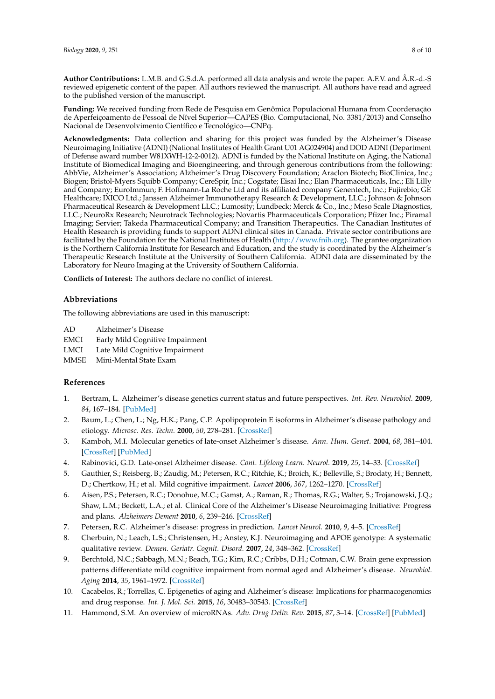**Author Contributions:** L.M.B. and G.S.d.A. performed all data analysis and wrote the paper. A.F.V. and Â.R.-d.-S reviewed epigenetic content of the paper. All authors reviewed the manuscript. All authors have read and agreed to the published version of the manuscript.

**Funding:** We received funding from Rede de Pesquisa em Genômica Populacional Humana from Coordenação de Aperfeiçoamento de Pessoal de Nível Superior—CAPES (Bio. Computacional, No. 3381/2013) and Conselho Nacional de Desenvolvimento Científico e Tecnológico—CNPq.

**Acknowledgments:** Data collection and sharing for this project was funded by the Alzheimer's Disease Neuroimaging Initiative (ADNI) (National Institutes of Health Grant U01 AG024904) and DOD ADNI (Department of Defense award number W81XWH-12-2-0012). ADNI is funded by the National Institute on Aging, the National Institute of Biomedical Imaging and Bioengineering, and through generous contributions from the following: AbbVie, Alzheimer's Association; Alzheimer's Drug Discovery Foundation; Araclon Biotech; BioClinica, Inc.; Biogen; Bristol-Myers Squibb Company; CereSpir, Inc.; Cogstate; Eisai Inc.; Elan Pharmaceuticals, Inc.; Eli Lilly and Company; EuroImmun; F. Hoffmann-La Roche Ltd and its affiliated company Genentech, Inc.; Fujirebio; GE Healthcare; IXICO Ltd.; Janssen Alzheimer Immunotherapy Research & Development, LLC.; Johnson & Johnson Pharmaceutical Research & Development LLC.; Lumosity; Lundbeck; Merck & Co., Inc.; Meso Scale Diagnostics, LLC.; NeuroRx Research; Neurotrack Technologies; Novartis Pharmaceuticals Corporation; Pfizer Inc.; Piramal Imaging; Servier; Takeda Pharmaceutical Company; and Transition Therapeutics. The Canadian Institutes of Health Research is providing funds to support ADNI clinical sites in Canada. Private sector contributions are facilitated by the Foundation for the National Institutes of Health [\(http://www.fnih.org\)](http://www.fnih.org). The grantee organization is the Northern California Institute for Research and Education, and the study is coordinated by the Alzheimer's Therapeutic Research Institute at the University of Southern California. ADNI data are disseminated by the Laboratory for Neuro Imaging at the University of Southern California.

**Conflicts of Interest:** The authors declare no conflict of interest.

# **Abbreviations**

The following abbreviations are used in this manuscript:

- AD Alzheimer's Disease
- EMCI Early Mild Cognitive Impairment
- LMCI Late Mild Cognitive Impairment<br>MMSE Mini-Mental State Exam
- Mini-Mental State Exam

# **References**

- <span id="page-7-0"></span>1. Bertram, L. Alzheimer's disease genetics current status and future perspectives. *Int. Rev. Neurobiol.* **2009**, *84*, 167–184. [\[PubMed\]](http://www.ncbi.nlm.nih.gov/pubmed/19501718)
- <span id="page-7-1"></span>2. Baum, L.; Chen, L.; Ng, H.K.; Pang, C.P. Apolipoprotein E isoforms in Alzheimer's disease pathology and etiology. *Microsc. Res. Techn.* **2000**, *50*, 278–281. [\[CrossRef\]](http://dx.doi.org/10.1002/1097-0029(20000815)50:4<278::AID-JEMT5>3.0.CO;2-T)
- <span id="page-7-6"></span>3. Kamboh, M.I. Molecular genetics of late-onset Alzheimer's disease. *Ann. Hum. Genet.* **2004**, *68*, 381–404. [\[CrossRef\]](http://dx.doi.org/10.1046/j.1529-8817.2004.00110.x) [\[PubMed\]](http://www.ncbi.nlm.nih.gov/pubmed/15225164)
- <span id="page-7-2"></span>4. Rabinovici, G.D. Late-onset Alzheimer disease. *Cont. Lifelong Learn. Neurol.* **2019**, *25*, 14–33. [\[CrossRef\]](http://dx.doi.org/10.1212/CON.0000000000000700)
- <span id="page-7-3"></span>5. Gauthier, S.; Reisberg, B.; Zaudig, M.; Petersen, R.C.; Ritchie, K.; Broich, K.; Belleville, S.; Brodaty, H.; Bennett, D.; Chertkow, H.; et al. Mild cognitive impairment. *Lancet* **2006**, *367*, 1262–1270. [\[CrossRef\]](http://dx.doi.org/10.1016/S0140-6736(06)68542-5)
- <span id="page-7-4"></span>6. Aisen, P.S.; Petersen, R.C.; Donohue, M.C.; Gamst, A.; Raman, R.; Thomas, R.G.; Walter, S.; Trojanowski, J.Q.; Shaw, L.M.; Beckett, L.A.; et al. Clinical Core of the Alzheimer's Disease Neuroimaging Initiative: Progress and plans. *Alzheimers Dement* **2010**, *6*, 239–246. [\[CrossRef\]](http://dx.doi.org/10.1016/j.jalz.2010.03.006)
- <span id="page-7-5"></span>7. Petersen, R.C. Alzheimer's disease: progress in prediction. *Lancet Neurol.* **2010**, *9*, 4–5. [\[CrossRef\]](http://dx.doi.org/10.1016/S1474-4422(09)70330-8)
- <span id="page-7-7"></span>8. Cherbuin, N.; Leach, L.S.; Christensen, H.; Anstey, K.J. Neuroimaging and APOE genotype: A systematic qualitative review. *Demen. Geriatr. Cognit. Disord.* **2007**, *24*, 348–362. [\[CrossRef\]](http://dx.doi.org/10.1159/000109150)
- <span id="page-7-8"></span>9. Berchtold, N.C.; Sabbagh, M.N.; Beach, T.G.; Kim, R.C.; Cribbs, D.H.; Cotman, C.W. Brain gene expression patterns differentiate mild cognitive impairment from normal aged and Alzheimer's disease. *Neurobiol. Aging* **2014**, *35*, 1961–1972. [\[CrossRef\]](http://dx.doi.org/10.1016/j.neurobiolaging.2014.03.031)
- <span id="page-7-9"></span>10. Cacabelos, R.; Torrellas, C. Epigenetics of aging and Alzheimer's disease: Implications for pharmacogenomics and drug response. *Int. J. Mol. Sci.* **2015**, *16*, 30483–30543. [\[CrossRef\]](http://dx.doi.org/10.3390/ijms161226236)
- <span id="page-7-10"></span>11. Hammond, S.M. An overview of microRNAs. *Adv. Drug Deliv. Rev.* **2015**, *87*, 3–14. [\[CrossRef\]](http://dx.doi.org/10.1016/j.addr.2015.05.001) [\[PubMed\]](http://www.ncbi.nlm.nih.gov/pubmed/25979468)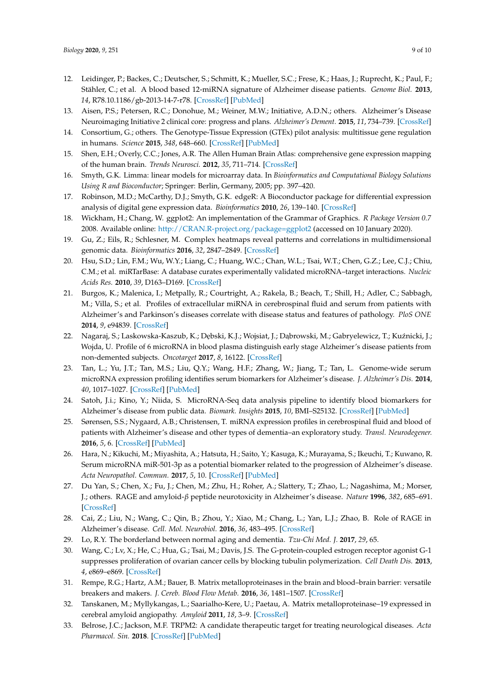- <span id="page-8-0"></span>12. Leidinger, P.; Backes, C.; Deutscher, S.; Schmitt, K.; Mueller, S.C.; Frese, K.; Haas, J.; Ruprecht, K.; Paul, F.; Stähler, C.; et al. A blood based 12-miRNA signature of Alzheimer disease patients. *Genome Biol.* **2013**, *14*, R78[.10.1186/gb-2013-14-7-r78.](https://doi.org/10.1186/gb-2013-14-7-r78) [\[CrossRef\]](http://dx.doi.org/10.1186/gb-2013-14-7-r78) [\[PubMed\]](http://www.ncbi.nlm.nih.gov/pubmed/23895045)
- <span id="page-8-1"></span>13. Aisen, P.S.; Petersen, R.C.; Donohue, M.; Weiner, M.W.; Initiative, A.D.N.; others. Alzheimer's Disease Neuroimaging Initiative 2 clinical core: progress and plans. *Alzheimer's Dement.* **2015**, *11*, 734–739. [\[CrossRef\]](http://dx.doi.org/10.1016/j.jalz.2015.05.005)
- <span id="page-8-2"></span>14. Consortium, G.; others. The Genotype-Tissue Expression (GTEx) pilot analysis: multitissue gene regulation in humans. *Science* **2015**, *348*, 648–660. [\[CrossRef\]](http://dx.doi.org/10.1126/science.1262110) [\[PubMed\]](http://www.ncbi.nlm.nih.gov/pubmed/25954001)
- <span id="page-8-3"></span>15. Shen, E.H.; Overly, C.C.; Jones, A.R. The Allen Human Brain Atlas: comprehensive gene expression mapping of the human brain. *Trends Neurosci.* **2012**, *35*, 711–714. [\[CrossRef\]](http://dx.doi.org/10.1016/j.tins.2012.09.005)
- <span id="page-8-4"></span>16. Smyth, G.K. Limma: linear models for microarray data. In *Bioinformatics and Computational Biology Solutions Using R and Bioconductor*; Springer: Berlin, Germany, 2005; pp. 397–420.
- <span id="page-8-5"></span>17. Robinson, M.D.; McCarthy, D.J.; Smyth, G.K. edgeR: A Bioconductor package for differential expression analysis of digital gene expression data. *Bioinformatics* **2010**, *26*, 139–140. [\[CrossRef\]](http://dx.doi.org/10.1093/bioinformatics/btp616)
- <span id="page-8-6"></span>18. Wickham, H.; Chang, W. ggplot2: An implementation of the Grammar of Graphics. *R Package Version 0.7* 2008. Available online: [http://CRAN.R-project.org/package=ggplot2](http://CRAN. R-project. org/package= ggplot2) (accessed on 10 January 2020).
- <span id="page-8-7"></span>19. Gu, Z.; Eils, R.; Schlesner, M. Complex heatmaps reveal patterns and correlations in multidimensional genomic data. *Bioinformatics* **2016**, *32*, 2847–2849. [\[CrossRef\]](http://dx.doi.org/10.1093/bioinformatics/btw313)
- <span id="page-8-8"></span>20. Hsu, S.D.; Lin, F.M.; Wu, W.Y.; Liang, C.; Huang, W.C.; Chan, W.L.; Tsai, W.T.; Chen, G.Z.; Lee, C.J.; Chiu, C.M.; et al. miRTarBase: A database curates experimentally validated microRNA–target interactions. *Nucleic Acids Res.* **2010**, *39*, D163–D169. [\[CrossRef\]](http://dx.doi.org/10.1093/nar/gkq1107)
- <span id="page-8-9"></span>21. Burgos, K.; Malenica, I.; Metpally, R.; Courtright, A.; Rakela, B.; Beach, T.; Shill, H.; Adler, C.; Sabbagh, M.; Villa, S.; et al. Profiles of extracellular miRNA in cerebrospinal fluid and serum from patients with Alzheimer's and Parkinson's diseases correlate with disease status and features of pathology. *PloS ONE* **2014**, *9*, e94839. [\[CrossRef\]](http://dx.doi.org/10.1371/journal.pone.0094839)
- <span id="page-8-10"></span>22. Nagaraj, S.; Laskowska-Kaszub, K.; Dębski, K.J.; Wojsiat, J.; Dąbrowski, M.; Gabryelewicz, T.; Kuźnicki, J.; Wojda, U. Profile of 6 microRNA in blood plasma distinguish early stage Alzheimer's disease patients from non-demented subjects. *Oncotarget* **2017**, *8*, 16122. [\[CrossRef\]](http://dx.doi.org/10.18632/oncotarget.15109)
- <span id="page-8-11"></span>23. Tan, L.; Yu, J.T.; Tan, M.S.; Liu, Q.Y.; Wang, H.F.; Zhang, W.; Jiang, T.; Tan, L. Genome-wide serum microRNA expression profiling identifies serum biomarkers for Alzheimer's disease. *J. Alzheimer's Dis.* **2014**, *40*, 1017–1027. [\[CrossRef\]](http://dx.doi.org/10.3233/JAD-132144) [\[PubMed\]](http://www.ncbi.nlm.nih.gov/pubmed/24577456)
- <span id="page-8-12"></span>24. Satoh, J.i.; Kino, Y.; Niida, S. MicroRNA-Seq data analysis pipeline to identify blood biomarkers for Alzheimer's disease from public data. *Biomark. Insights* **2015**, *10*, BMI–S25132. [\[CrossRef\]](http://dx.doi.org/10.4137/BMI.S25132) [\[PubMed\]](http://www.ncbi.nlm.nih.gov/pubmed/25922570)
- <span id="page-8-13"></span>25. Sørensen, S.S.; Nygaard, A.B.; Christensen, T. miRNA expression profiles in cerebrospinal fluid and blood of patients with Alzheimer's disease and other types of dementia–an exploratory study. *Transl. Neurodegener.* **2016**, *5*, 6. [\[CrossRef\]](http://dx.doi.org/10.1186/s40035-016-0053-5) [\[PubMed\]](http://www.ncbi.nlm.nih.gov/pubmed/26981236)
- <span id="page-8-14"></span>26. Hara, N.; Kikuchi, M.; Miyashita, A.; Hatsuta, H.; Saito, Y.; Kasuga, K.; Murayama, S.; Ikeuchi, T.; Kuwano, R. Serum microRNA miR-501-3p as a potential biomarker related to the progression of Alzheimer's disease. *Acta Neuropathol. Commun.* **2017**, *5*, 10. [\[CrossRef\]](http://dx.doi.org/10.1186/s40478-017-0414-z) [\[PubMed\]](http://www.ncbi.nlm.nih.gov/pubmed/28137310)
- <span id="page-8-15"></span>27. Du Yan, S.; Chen, X.; Fu, J.; Chen, M.; Zhu, H.; Roher, A.; Slattery, T.; Zhao, L.; Nagashima, M.; Morser, J.; others. RAGE and amyloid-*β* peptide neurotoxicity in Alzheimer's disease. *Nature* **1996**, *382*, 685–691. [\[CrossRef\]](http://dx.doi.org/10.1038/382685a0)
- 28. Cai, Z.; Liu, N.; Wang, C.; Qin, B.; Zhou, Y.; Xiao, M.; Chang, L.; Yan, L.J.; Zhao, B. Role of RAGE in Alzheimer's disease. *Cell. Mol. Neurobiol.* **2016**, *36*, 483–495. [\[CrossRef\]](http://dx.doi.org/10.1007/s10571-015-0233-3)
- <span id="page-8-16"></span>29. Lo, R.Y. The borderland between normal aging and dementia. *Tzu-Chi Med. J.* **2017**, *29*, 65.
- <span id="page-8-19"></span>30. Wang, C.; Lv, X.; He, C.; Hua, G.; Tsai, M.; Davis, J.S. The G-protein-coupled estrogen receptor agonist G-1 suppresses proliferation of ovarian cancer cells by blocking tubulin polymerization. *Cell Death Dis.* **2013**, *4*, e869–e869. [\[CrossRef\]](http://dx.doi.org/10.1038/cddis.2013.397)
- <span id="page-8-17"></span>31. Rempe, R.G.; Hartz, A.M.; Bauer, B. Matrix metalloproteinases in the brain and blood–brain barrier: versatile breakers and makers. *J. Cereb. Blood Flow Metab.* **2016**, *36*, 1481–1507. [\[CrossRef\]](http://dx.doi.org/10.1177/0271678X16655551)
- <span id="page-8-18"></span>32. Tanskanen, M.; Myllykangas, L.; Saarialho-Kere, U.; Paetau, A. Matrix metalloproteinase–19 expressed in cerebral amyloid angiopathy. *Amyloid* **2011**, *18*, 3–9. [\[CrossRef\]](http://dx.doi.org/10.3109/13506129.2010.541960)
- <span id="page-8-20"></span>33. Belrose, J.C.; Jackson, M.F. TRPM2: A candidate therapeutic target for treating neurological diseases. *Acta Pharmacol. Sin.* **2018**. [\[CrossRef\]](http://dx.doi.org/10.1038/aps.2018.31) [\[PubMed\]](http://www.ncbi.nlm.nih.gov/pubmed/29671419)